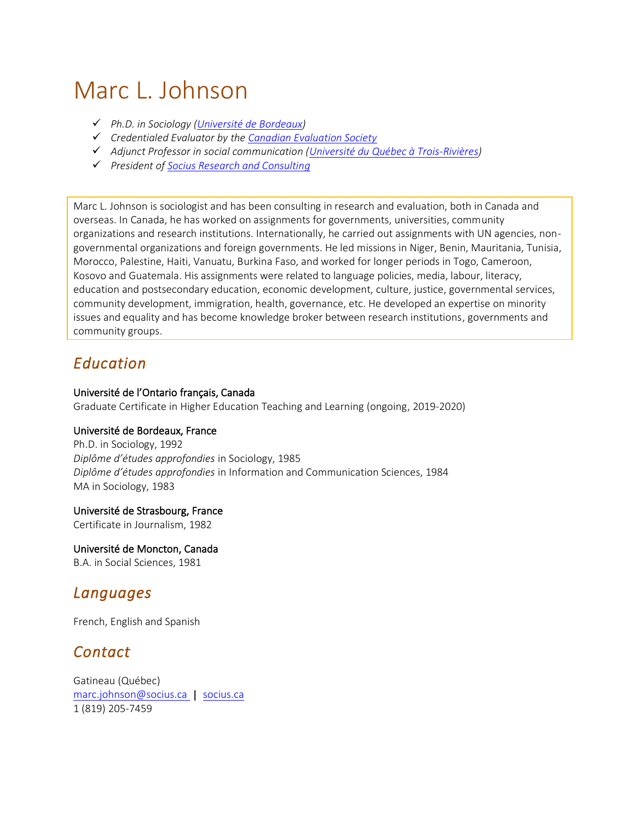# Marc L. Johnson

- ✓ *Ph.D. in Sociology [\(Université de Bordeaux\)](https://www.u-bordeaux.fr/Colleges-et-departements/College-Sciences-de-l-Homme/Faculte-de-sociologie)*
- ✓ *Credentialed Evaluator by the [Canadian Evaluation Society](http://evaluationcanada.ca/site.cgi?s=5&ss=12&_lang=an)*
- ✓ *Adjunct Professor in social communication [\(Université du Québec à Trois-Rivières\)](https://oraprdnt.uqtr.uquebec.ca/pls/public/gscw045a.afficher_sommaire)*
- ✓ *President of [Socius Research and Consulting](http://www.socius.ca/)*

Marc L. Johnson is sociologist and has been consulting in research and evaluation, both in Canada and overseas. In Canada, he has worked on assignments for governments, universities, community organizations and research institutions. Internationally, he carried out assignments with UN agencies, nongovernmental organizations and foreign governments. He led missions in Niger, Benin, Mauritania, Tunisia, Morocco, Palestine, Haiti, Vanuatu, Burkina Faso, and worked for longer periods in Togo, Cameroon, Kosovo and Guatemala. His assignments were related to language policies, media, labour, literacy, education and postsecondary education, economic development, culture, justice, governmental services, community development, immigration, health, governance, etc. He developed an expertise on minority issues and equality and has become knowledge broker between research institutions, governments and community groups.

## *Education*

#### Université de l'Ontario français, Canada

Graduate Certificate in Higher Education Teaching and Learning (ongoing, 2019-2020)

#### Université de Bordeaux, France

Ph.D. in Sociology, 1992 *Diplôme d'études approfondies* in Sociology, 1985 *Diplôme d'études approfondies* in Information and Communication Sciences, 1984 MA in Sociology, 1983

#### Université de Strasbourg, France

Certificate in Journalism, 1982

#### Université de Moncton, Canada

B.A. in Social Sciences, 1981

### *Languages*

French, English and Spanish

## *Contact*

Gatineau (Québec) [marc.johnson@socius.ca](mailto:marc.johnson@socius.ca) | [socius.ca](http://www.socius.ca/) 1 (819) 205-7459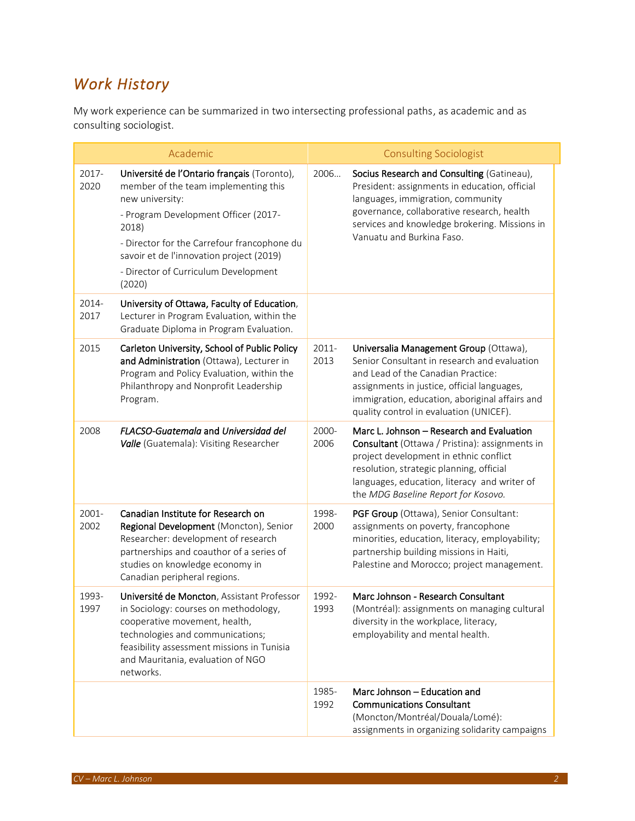## *Work History*

My work experience can be summarized in two intersecting professional paths, as academic and as consulting sociologist.

|               | Academic                                                                                                                                                                                                                                                                                             |               | <b>Consulting Sociologist</b>                                                                                                                                                                                                                                            |
|---------------|------------------------------------------------------------------------------------------------------------------------------------------------------------------------------------------------------------------------------------------------------------------------------------------------------|---------------|--------------------------------------------------------------------------------------------------------------------------------------------------------------------------------------------------------------------------------------------------------------------------|
| 2017-<br>2020 | Université de l'Ontario français (Toronto),<br>member of the team implementing this<br>new university:<br>- Program Development Officer (2017-<br>2018)<br>- Director for the Carrefour francophone du<br>savoir et de l'innovation project (2019)<br>- Director of Curriculum Development<br>(2020) | 2006          | Socius Research and Consulting (Gatineau),<br>President: assignments in education, official<br>languages, immigration, community<br>governance, collaborative research, health<br>services and knowledge brokering. Missions in<br>Vanuatu and Burkina Faso.             |
| 2014-<br>2017 | University of Ottawa, Faculty of Education,<br>Lecturer in Program Evaluation, within the<br>Graduate Diploma in Program Evaluation.                                                                                                                                                                 |               |                                                                                                                                                                                                                                                                          |
| 2015          | Carleton University, School of Public Policy<br>and Administration (Ottawa), Lecturer in<br>Program and Policy Evaluation, within the<br>Philanthropy and Nonprofit Leadership<br>Program.                                                                                                           | 2011-<br>2013 | Universalia Management Group (Ottawa),<br>Senior Consultant in research and evaluation<br>and Lead of the Canadian Practice:<br>assignments in justice, official languages,<br>immigration, education, aboriginal affairs and<br>quality control in evaluation (UNICEF). |
| 2008          | FLACSO-Guatemala and Universidad del<br>Valle (Guatemala): Visiting Researcher                                                                                                                                                                                                                       | 2000-<br>2006 | Marc L. Johnson - Research and Evaluation<br>Consultant (Ottawa / Pristina): assignments in<br>project development in ethnic conflict<br>resolution, strategic planning, official<br>languages, education, literacy and writer of<br>the MDG Baseline Report for Kosovo. |
| 2001-<br>2002 | Canadian Institute for Research on<br>Regional Development (Moncton), Senior<br>Researcher: development of research<br>partnerships and coauthor of a series of<br>studies on knowledge economy in<br>Canadian peripheral regions.                                                                   | 1998-<br>2000 | PGF Group (Ottawa), Senior Consultant:<br>assignments on poverty, francophone<br>minorities, education, literacy, employability;<br>partnership building missions in Haiti,<br>Palestine and Morocco; project management.                                                |
| 1993-<br>1997 | Université de Moncton, Assistant Professor<br>in Sociology: courses on methodology,<br>cooperative movement, health,<br>technologies and communications;<br>feasibility assessment missions in Tunisia<br>and Mauritania, evaluation of NGO<br>networks.                                             | 1992-<br>1993 | Marc Johnson - Research Consultant<br>(Montréal): assignments on managing cultural<br>diversity in the workplace, literacy,<br>employability and mental health.                                                                                                          |
|               |                                                                                                                                                                                                                                                                                                      | 1985-<br>1992 | Marc Johnson - Education and<br><b>Communications Consultant</b><br>(Moncton/Montréal/Douala/Lomé):<br>assignments in organizing solidarity campaigns                                                                                                                    |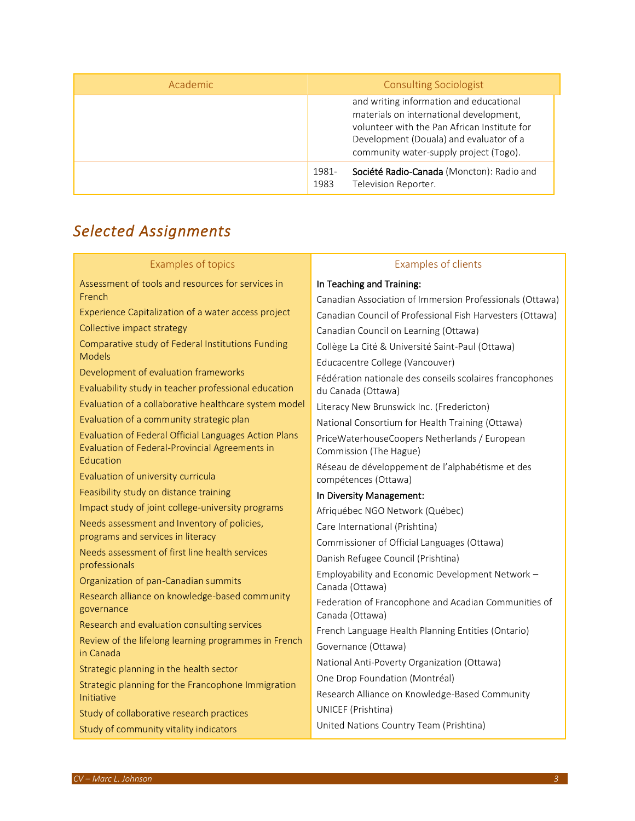| Academic | <b>Consulting Sociologist</b>                                                                                                                                                                                           |
|----------|-------------------------------------------------------------------------------------------------------------------------------------------------------------------------------------------------------------------------|
|          | and writing information and educational<br>materials on international development,<br>volunteer with the Pan African Institute for<br>Development (Douala) and evaluator of a<br>community water-supply project (Togo). |
|          | Société Radio-Canada (Moncton): Radio and<br>1981-<br>Television Reporter.<br>1983                                                                                                                                      |

# *Selected Assignments*

| <b>Examples of topics</b>                                                                               | <b>Examples of clients</b>                                                     |  |
|---------------------------------------------------------------------------------------------------------|--------------------------------------------------------------------------------|--|
| Assessment of tools and resources for services in                                                       | In Teaching and Training:                                                      |  |
| French                                                                                                  | Canadian Association of Immersion Professionals (Ottawa)                       |  |
| Experience Capitalization of a water access project                                                     | Canadian Council of Professional Fish Harvesters (Ottawa)                      |  |
| Collective impact strategy                                                                              | Canadian Council on Learning (Ottawa)                                          |  |
| Comparative study of Federal Institutions Funding<br><b>Models</b>                                      | Collège La Cité & Université Saint-Paul (Ottawa)                               |  |
| Development of evaluation frameworks                                                                    | Educacentre College (Vancouver)                                                |  |
| Evaluability study in teacher professional education                                                    | Fédération nationale des conseils scolaires francophones<br>du Canada (Ottawa) |  |
| Evaluation of a collaborative healthcare system model                                                   | Literacy New Brunswick Inc. (Fredericton)                                      |  |
| Evaluation of a community strategic plan                                                                | National Consortium for Health Training (Ottawa)                               |  |
| Evaluation of Federal Official Languages Action Plans<br>Evaluation of Federal-Provincial Agreements in | PriceWaterhouseCoopers Netherlands / European<br>Commission (The Hague)        |  |
| Education<br>Evaluation of university curricula                                                         | Réseau de développement de l'alphabétisme et des<br>compétences (Ottawa)       |  |
| Feasibility study on distance training                                                                  | In Diversity Management:                                                       |  |
| Impact study of joint college-university programs                                                       | Afriquébec NGO Network (Québec)                                                |  |
| Needs assessment and Inventory of policies,                                                             | Care International (Prishtina)                                                 |  |
| programs and services in literacy                                                                       | Commissioner of Official Languages (Ottawa)                                    |  |
| Needs assessment of first line health services<br>professionals                                         | Danish Refugee Council (Prishtina)                                             |  |
| Organization of pan-Canadian summits                                                                    | Employability and Economic Development Network -<br>Canada (Ottawa)            |  |
| Research alliance on knowledge-based community<br>governance                                            | Federation of Francophone and Acadian Communities of<br>Canada (Ottawa)        |  |
| Research and evaluation consulting services                                                             | French Language Health Planning Entities (Ontario)                             |  |
| Review of the lifelong learning programmes in French<br>in Canada                                       | Governance (Ottawa)                                                            |  |
| Strategic planning in the health sector                                                                 | National Anti-Poverty Organization (Ottawa)                                    |  |
| Strategic planning for the Francophone Immigration                                                      | One Drop Foundation (Montréal)                                                 |  |
| Initiative                                                                                              | Research Alliance on Knowledge-Based Community                                 |  |
| Study of collaborative research practices                                                               | UNICEF (Prishtina)                                                             |  |
| Study of community vitality indicators                                                                  | United Nations Country Team (Prishtina)                                        |  |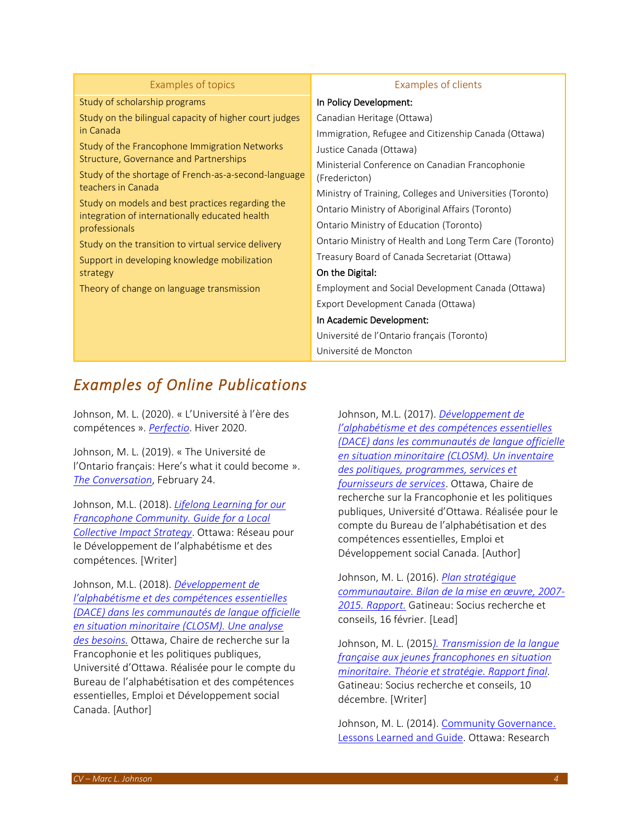| Examples of topics                                                                                 | <b>Examples of clients</b>                                |
|----------------------------------------------------------------------------------------------------|-----------------------------------------------------------|
| Study of scholarship programs                                                                      | In Policy Development:                                    |
| Study on the bilingual capacity of higher court judges                                             | Canadian Heritage (Ottawa)                                |
| in Canada                                                                                          | Immigration, Refugee and Citizenship Canada (Ottawa)      |
| Study of the Francophone Immigration Networks                                                      | Justice Canada (Ottawa)                                   |
| Structure, Governance and Partnerships                                                             | Ministerial Conference on Canadian Francophonie           |
| Study of the shortage of French-as-a-second-language                                               | (Fredericton)                                             |
| teachers in Canada                                                                                 | Ministry of Training, Colleges and Universities (Toronto) |
| Study on models and best practices regarding the<br>integration of internationally educated health | Ontario Ministry of Aboriginal Affairs (Toronto)          |
| professionals                                                                                      | Ontario Ministry of Education (Toronto)                   |
| Study on the transition to virtual service delivery                                                | Ontario Ministry of Health and Long Term Care (Toronto)   |
| Support in developing knowledge mobilization                                                       | Treasury Board of Canada Secretariat (Ottawa)             |
| strategy                                                                                           | On the Digital:                                           |
| Theory of change on language transmission                                                          | Employment and Social Development Canada (Ottawa)         |
|                                                                                                    | Export Development Canada (Ottawa)                        |
|                                                                                                    | In Academic Development:                                  |
|                                                                                                    | Université de l'Ontario français (Toronto)                |
|                                                                                                    | Université de Moncton                                     |

## *Examples of Online Publications*

Johnson, M. L. (2020). « L'Université à l'ère des compétences ». *[Perfectio](https://issuu.com/cofa-fad/docs/edition_speciale_-_hiver_2020_web)*. Hiver 2020.

Johnson, M. L. (2019). « The Université de l'Ontario français: Here's what it could become ». *[The Conversation](https://theconversation.com/the-universite-de-lontario-francais-heres-what-it-could-become-111973)*, February 24.

Johnson, M.L. (2018). *[Lifelong Learning for our](http://bv.cdeacf.ca/EA_PDF/59386.pdf)  [Francophone Community. Guide for a Local](http://bv.cdeacf.ca/EA_PDF/59386.pdf)  [Collective Impact Strategy](http://bv.cdeacf.ca/EA_PDF/59386.pdf)*. Ottawa: Réseau pour le Développement de l'alphabétisme et des compétences. [Writer]

Johnson, M.L. (2018). *[Développement de](https://sciencessociales.uottawa.ca/crfpp/sites/sciencessociales.uottawa.ca.crfpp/files/rapport_analyse_besoins_dace_2018-03-26.pdf)  [l'alphabétisme et des compétences essentielles](https://sciencessociales.uottawa.ca/crfpp/sites/sciencessociales.uottawa.ca.crfpp/files/rapport_analyse_besoins_dace_2018-03-26.pdf)  [\(DACE\) dans les communautés de langue officielle](https://sciencessociales.uottawa.ca/crfpp/sites/sciencessociales.uottawa.ca.crfpp/files/rapport_analyse_besoins_dace_2018-03-26.pdf)  [en situation minoritaire \(CLOSM\). Une analyse](https://sciencessociales.uottawa.ca/crfpp/sites/sciencessociales.uottawa.ca.crfpp/files/rapport_analyse_besoins_dace_2018-03-26.pdf)  [des besoins.](https://sciencessociales.uottawa.ca/crfpp/sites/sciencessociales.uottawa.ca.crfpp/files/rapport_analyse_besoins_dace_2018-03-26.pdf)* Ottawa, Chaire de recherche sur la Francophonie et les politiques publiques, Université d'Ottawa. Réalisée pour le compte du Bureau de l'alphabétisation et des compétences essentielles, Emploi et Développement social Canada. [Author]

Johnson, M.L. (2017). *[Développement de](https://sciencessociales.uottawa.ca/crfpp/sites/sciencessociales.uottawa.ca.crfpp/files/inventaire_dace_rapport_final_2017-12-08.pdf)  l'al[phabétisme et des compétences essentielles](https://sciencessociales.uottawa.ca/crfpp/sites/sciencessociales.uottawa.ca.crfpp/files/inventaire_dace_rapport_final_2017-12-08.pdf)  [\(DACE\) dans les communautés de langue officielle](https://sciencessociales.uottawa.ca/crfpp/sites/sciencessociales.uottawa.ca.crfpp/files/inventaire_dace_rapport_final_2017-12-08.pdf)  [en situation minoritaire \(CLOSM\). Un inventaire](https://sciencessociales.uottawa.ca/crfpp/sites/sciencessociales.uottawa.ca.crfpp/files/inventaire_dace_rapport_final_2017-12-08.pdf)  [des politiques, programmes, services et](https://sciencessociales.uottawa.ca/crfpp/sites/sciencessociales.uottawa.ca.crfpp/files/inventaire_dace_rapport_final_2017-12-08.pdf)  [fournisseurs de services](https://sciencessociales.uottawa.ca/crfpp/sites/sciencessociales.uottawa.ca.crfpp/files/inventaire_dace_rapport_final_2017-12-08.pdf)*. Ottawa, Chaire de recherche sur la Francophonie et les politiques publiques, Université d'Ottawa. Réalisée pour le compte du Bureau de l'alphabétisation et des compétences essentielles, Emploi et Développement social Canada. [Author]

Johnson, M. L. (2016). *[Plan stratégique](http://socius.ca/fr/publications)  [communautaire. Bilan de la mise en œuvre, 2007](http://socius.ca/fr/publications)- 2015. [Rapport.](http://socius.ca/fr/publications)* Gatineau: Socius recherche et conseils, 16 février. [Lead]

Johnson, M. L. (2015*). [Transmission de la langue](http://socius.ca/fr/publications/459)  [française aux jeunes francophones en situation](http://socius.ca/fr/publications/459)  [minoritaire. Théorie et stratégie. Rapport final.](http://socius.ca/fr/publications/459)* Gatineau: Socius recherche et conseils, 10 décembre. [Writer]

Johnson, M. L. (2014). [Community Governance.](http://socialsciences.uottawa.ca/cura/publications/guides)  [Lessons Learned and Guide.](http://socialsciences.uottawa.ca/cura/publications/guides) Ottawa: Research